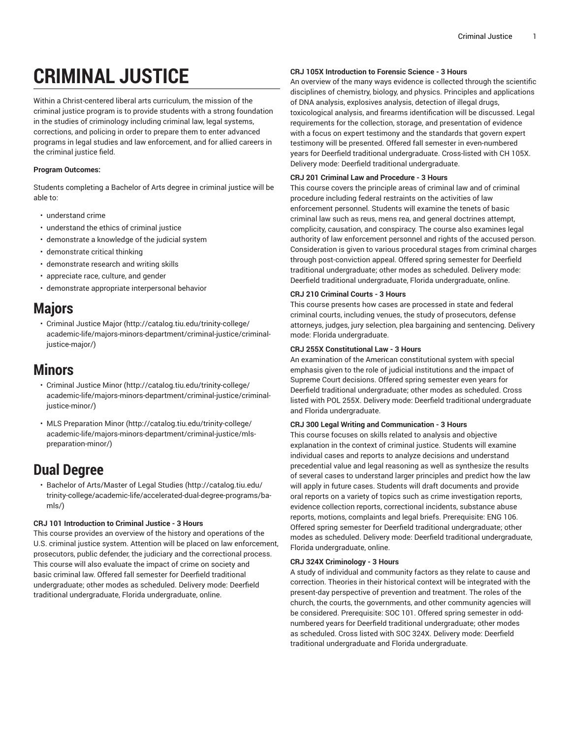# **CRIMINAL JUSTICE**

Within a Christ-centered liberal arts curriculum, the mission of the criminal justice program is to provide students with a strong foundation in the studies of criminology including criminal law, legal systems, corrections, and policing in order to prepare them to enter advanced programs in legal studies and law enforcement, and for allied careers in the criminal justice field.

# **Program Outcomes:**

Students completing a Bachelor of Arts degree in criminal justice will be able to:

- understand crime
- understand the ethics of criminal justice
- demonstrate a knowledge of the judicial system
- demonstrate critical thinking
- demonstrate research and writing skills
- appreciate race, culture, and gender
- demonstrate appropriate interpersonal behavior

# **Majors**

• [Criminal Justice Major \(http://catalog.tiu.edu/trinity-college/](http://catalog.tiu.edu/trinity-college/academic-life/majors-minors-department/criminal-justice/criminal-justice-major/) [academic-life/majors-minors-department/criminal-justice/criminal](http://catalog.tiu.edu/trinity-college/academic-life/majors-minors-department/criminal-justice/criminal-justice-major/)[justice-major/](http://catalog.tiu.edu/trinity-college/academic-life/majors-minors-department/criminal-justice/criminal-justice-major/))

# **Minors**

- [Criminal Justice Minor](http://catalog.tiu.edu/trinity-college/academic-life/majors-minors-department/criminal-justice/criminal-justice-minor/) ([http://catalog.tiu.edu/trinity-college/](http://catalog.tiu.edu/trinity-college/academic-life/majors-minors-department/criminal-justice/criminal-justice-minor/) [academic-life/majors-minors-department/criminal-justice/criminal](http://catalog.tiu.edu/trinity-college/academic-life/majors-minors-department/criminal-justice/criminal-justice-minor/)[justice-minor/](http://catalog.tiu.edu/trinity-college/academic-life/majors-minors-department/criminal-justice/criminal-justice-minor/))
- MLS [Preparation](http://catalog.tiu.edu/trinity-college/academic-life/majors-minors-department/criminal-justice/mls-preparation-minor/) Minor ([http://catalog.tiu.edu/trinity-college/](http://catalog.tiu.edu/trinity-college/academic-life/majors-minors-department/criminal-justice/mls-preparation-minor/) [academic-life/majors-minors-department/criminal-justice/mls](http://catalog.tiu.edu/trinity-college/academic-life/majors-minors-department/criminal-justice/mls-preparation-minor/)[preparation-minor/\)](http://catalog.tiu.edu/trinity-college/academic-life/majors-minors-department/criminal-justice/mls-preparation-minor/)

# **Dual Degree**

• Bachelor of [Arts/Master](http://catalog.tiu.edu/trinity-college/academic-life/accelerated-dual-degree-programs/ba-mls/) of Legal Studies [\(http://catalog.tiu.edu/](http://catalog.tiu.edu/trinity-college/academic-life/accelerated-dual-degree-programs/ba-mls/) [trinity-college/academic-life/accelerated-dual-degree-programs/ba](http://catalog.tiu.edu/trinity-college/academic-life/accelerated-dual-degree-programs/ba-mls/)[mls/](http://catalog.tiu.edu/trinity-college/academic-life/accelerated-dual-degree-programs/ba-mls/))

# **CRJ 101 Introduction to Criminal Justice - 3 Hours**

This course provides an overview of the history and operations of the U.S. criminal justice system. Attention will be placed on law enforcement, prosecutors, public defender, the judiciary and the correctional process. This course will also evaluate the impact of crime on society and basic criminal law. Offered fall semester for Deerfield traditional undergraduate; other modes as scheduled. Delivery mode: Deerfield traditional undergraduate, Florida undergraduate, online.

# **CRJ 105X Introduction to Forensic Science - 3 Hours**

An overview of the many ways evidence is collected through the scientific disciplines of chemistry, biology, and physics. Principles and applications of DNA analysis, explosives analysis, detection of illegal drugs, toxicological analysis, and firearms identification will be discussed. Legal requirements for the collection, storage, and presentation of evidence with a focus on expert testimony and the standards that govern expert testimony will be presented. Offered fall semester in even-numbered years for Deerfield traditional undergraduate. Cross-listed with CH 105X. Delivery mode: Deerfield traditional undergraduate.

# **CRJ 201 Criminal Law and Procedure - 3 Hours**

This course covers the principle areas of criminal law and of criminal procedure including federal restraints on the activities of law enforcement personnel. Students will examine the tenets of basic criminal law such as reus, mens rea, and general doctrines attempt, complicity, causation, and conspiracy. The course also examines legal authority of law enforcement personnel and rights of the accused person. Consideration is given to various procedural stages from criminal charges through post-conviction appeal. Offered spring semester for Deerfield traditional undergraduate; other modes as scheduled. Delivery mode: Deerfield traditional undergraduate, Florida undergraduate, online.

# **CRJ 210 Criminal Courts - 3 Hours**

This course presents how cases are processed in state and federal criminal courts, including venues, the study of prosecutors, defense attorneys, judges, jury selection, plea bargaining and sentencing. Delivery mode: Florida undergraduate.

# **CRJ 255X Constitutional Law - 3 Hours**

An examination of the American constitutional system with special emphasis given to the role of judicial institutions and the impact of Supreme Court decisions. Offered spring semester even years for Deerfield traditional undergraduate; other modes as scheduled. Cross listed with POL 255X. Delivery mode: Deerfield traditional undergraduate and Florida undergraduate.

# **CRJ 300 Legal Writing and Communication - 3 Hours**

This course focuses on skills related to analysis and objective explanation in the context of criminal justice. Students will examine individual cases and reports to analyze decisions and understand precedential value and legal reasoning as well as synthesize the results of several cases to understand larger principles and predict how the law will apply in future cases. Students will draft documents and provide oral reports on a variety of topics such as crime investigation reports, evidence collection reports, correctional incidents, substance abuse reports, motions, complaints and legal briefs. Prerequisite: ENG 106. Offered spring semester for Deerfield traditional undergraduate; other modes as scheduled. Delivery mode: Deerfield traditional undergraduate, Florida undergraduate, online.

# **CRJ 324X Criminology - 3 Hours**

A study of individual and community factors as they relate to cause and correction. Theories in their historical context will be integrated with the present-day perspective of prevention and treatment. The roles of the church, the courts, the governments, and other community agencies will be considered. Prerequisite: SOC 101. Offered spring semester in oddnumbered years for Deerfield traditional undergraduate; other modes as scheduled. Cross listed with SOC 324X. Delivery mode: Deerfield traditional undergraduate and Florida undergraduate.